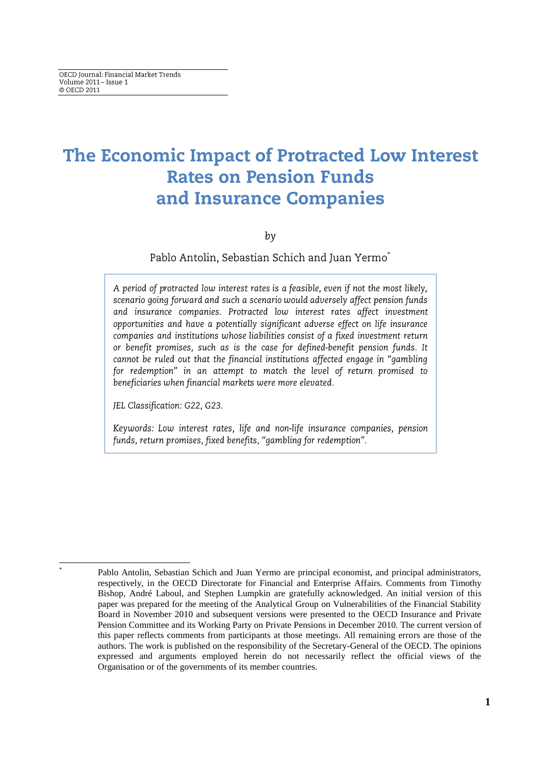# The Economic Impact of Protracted Low Interest **Rates on Pension Funds** and Insurance Companies

by

Pablo Antolin, Sebastian Schich and Juan Yermo\*

A period of protracted low interest rates is a feasible, even if not the most likely, scenario going forward and such a scenario would adversely affect pension funds and insurance companies. Protracted low interest rates affect investment opportunities and have a potentially significant adverse effect on life insurance companies and institutions whose liabilities consist of a fixed investment return or benefit promises, such as is the case for defined-benefit pension funds. It cannot be ruled out that the financial institutions affected engage in "gambling for redemption" in an attempt to match the level of return promised to beneficiaries when financial markets were more elevated.

JEL Classification: G22, G23.

 $\overline{a}$ \* Keywords: Low interest rates, life and non-life insurance companies, pension funds, return promises, fixed benefits, "gambling for redemption".

Pablo Antolin, Sebastian Schich and Juan Yermo are principal economist, and principal administrators, respectively, in the OECD Directorate for Financial and Enterprise Affairs. Comments from Timothy Bishop, André Laboul, and Stephen Lumpkin are gratefully acknowledged. An initial version of this paper was prepared for the meeting of the Analytical Group on Vulnerabilities of the Financial Stability Board in November 2010 and subsequent versions were presented to the OECD Insurance and Private Pension Committee and its Working Party on Private Pensions in December 2010. The current version of this paper reflects comments from participants at those meetings. All remaining errors are those of the authors. The work is published on the responsibility of the Secretary-General of the OECD. The opinions expressed and arguments employed herein do not necessarily reflect the official views of the Organisation or of the governments of its member countries.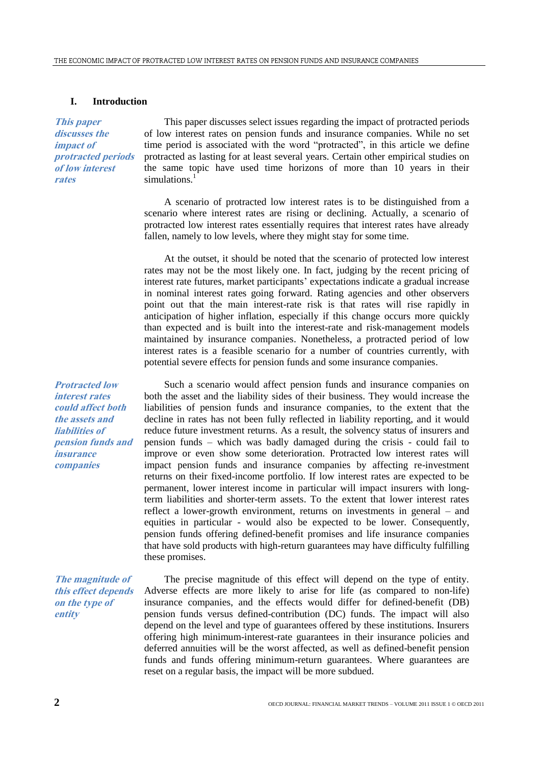# **I. Introduction**

**This paper discusses the impact of protracted periods of low interest rates**

This paper discusses select issues regarding the impact of protracted periods of low interest rates on pension funds and insurance companies. While no set time period is associated with the word "protracted", in this article we define protracted as lasting for at least several years. Certain other empirical studies on the same topic have used time horizons of more than 10 years in their simulations.<sup>1</sup>

A scenario of protracted low interest rates is to be distinguished from a scenario where interest rates are rising or declining. Actually, a scenario of protracted low interest rates essentially requires that interest rates have already fallen, namely to low levels, where they might stay for some time.

At the outset, it should be noted that the scenario of protected low interest rates may not be the most likely one. In fact, judging by the recent pricing of interest rate futures, market participants' expectations indicate a gradual increase in nominal interest rates going forward. Rating agencies and other observers point out that the main interest-rate risk is that rates will rise rapidly in anticipation of higher inflation, especially if this change occurs more quickly than expected and is built into the interest-rate and risk-management models maintained by insurance companies. Nonetheless, a protracted period of low interest rates is a feasible scenario for a number of countries currently, with potential severe effects for pension funds and some insurance companies.

Such a scenario would affect pension funds and insurance companies on both the asset and the liability sides of their business. They would increase the liabilities of pension funds and insurance companies, to the extent that the decline in rates has not been fully reflected in liability reporting, and it would reduce future investment returns. As a result, the solvency status of insurers and pension funds – which was badly damaged during the crisis - could fail to improve or even show some deterioration. Protracted low interest rates will impact pension funds and insurance companies by affecting re-investment returns on their fixed-income portfolio. If low interest rates are expected to be permanent, lower interest income in particular will impact insurers with longterm liabilities and shorter-term assets. To the extent that lower interest rates reflect a lower-growth environment, returns on investments in general – and equities in particular - would also be expected to be lower. Consequently, pension funds offering defined-benefit promises and life insurance companies that have sold products with high-return guarantees may have difficulty fulfilling these promises.

**The magnitude of this effect depends on the type of entity**

The precise magnitude of this effect will depend on the type of entity. Adverse effects are more likely to arise for life (as compared to non-life) insurance companies, and the effects would differ for defined-benefit (DB) pension funds versus defined-contribution (DC) funds. The impact will also depend on the level and type of guarantees offered by these institutions. Insurers offering high minimum-interest-rate guarantees in their insurance policies and deferred annuities will be the worst affected, as well as defined-benefit pension funds and funds offering minimum-return guarantees. Where guarantees are reset on a regular basis, the impact will be more subdued.

**Protracted low interest rates could affect both the assets and liabilities of pension funds and insurance companies**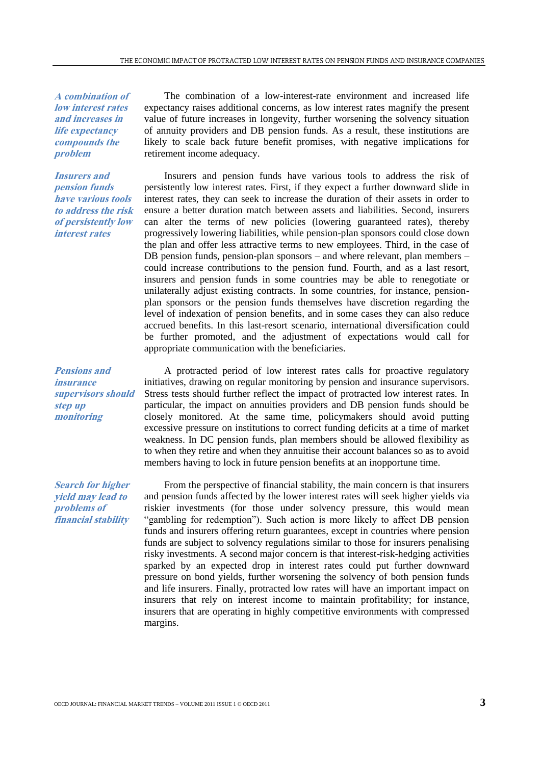**A combination of low interest rates and increases in life expectancy compounds the problem**

**Insurers and pension funds have various tools to address the risk of persistently low interest rates**

**Pensions and insurance supervisors should step up monitoring** 

**Search for higher yield may lead to problems of financial stability** 

The combination of a low-interest-rate environment and increased life expectancy raises additional concerns, as low interest rates magnify the present value of future increases in longevity, further worsening the solvency situation of annuity providers and DB pension funds. As a result, these institutions are likely to scale back future benefit promises, with negative implications for retirement income adequacy.

Insurers and pension funds have various tools to address the risk of persistently low interest rates. First, if they expect a further downward slide in interest rates, they can seek to increase the duration of their assets in order to ensure a better duration match between assets and liabilities. Second, insurers can alter the terms of new policies (lowering guaranteed rates), thereby progressively lowering liabilities, while pension-plan sponsors could close down the plan and offer less attractive terms to new employees. Third, in the case of DB pension funds, pension-plan sponsors – and where relevant, plan members – could increase contributions to the pension fund. Fourth, and as a last resort, insurers and pension funds in some countries may be able to renegotiate or unilaterally adjust existing contracts. In some countries, for instance, pensionplan sponsors or the pension funds themselves have discretion regarding the level of indexation of pension benefits, and in some cases they can also reduce accrued benefits. In this last-resort scenario, international diversification could be further promoted, and the adjustment of expectations would call for appropriate communication with the beneficiaries.

A protracted period of low interest rates calls for proactive regulatory initiatives, drawing on regular monitoring by pension and insurance supervisors. Stress tests should further reflect the impact of protracted low interest rates. In particular, the impact on annuities providers and DB pension funds should be closely monitored. At the same time, policymakers should avoid putting excessive pressure on institutions to correct funding deficits at a time of market weakness. In DC pension funds, plan members should be allowed flexibility as to when they retire and when they annuitise their account balances so as to avoid members having to lock in future pension benefits at an inopportune time.

From the perspective of financial stability, the main concern is that insurers and pension funds affected by the lower interest rates will seek higher yields via riskier investments (for those under solvency pressure, this would mean "gambling for redemption"). Such action is more likely to affect DB pension funds and insurers offering return guarantees, except in countries where pension funds are subject to solvency regulations similar to those for insurers penalising risky investments. A second major concern is that interest-risk-hedging activities sparked by an expected drop in interest rates could put further downward pressure on bond yields, further worsening the solvency of both pension funds and life insurers. Finally, protracted low rates will have an important impact on insurers that rely on interest income to maintain profitability; for instance, insurers that are operating in highly competitive environments with compressed margins.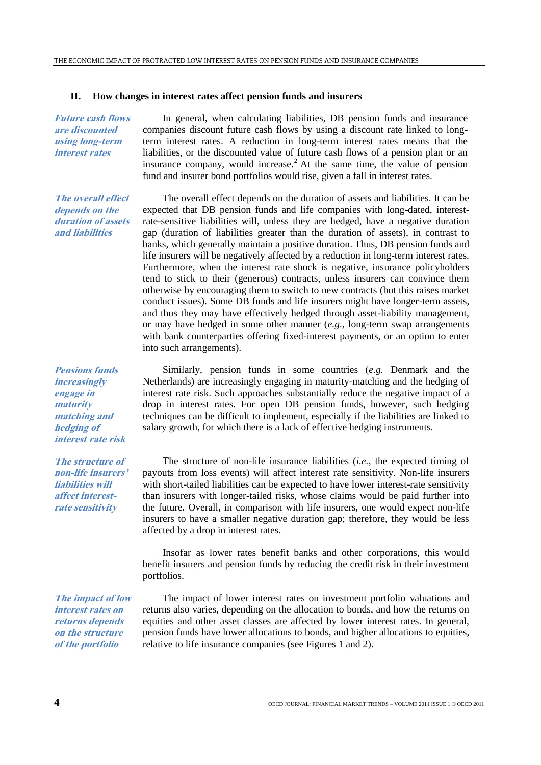# **II. How changes in interest rates affect pension funds and insurers**

**Future cash flows are discounted using long-term interest rates**

**The overall effect depends on the duration of assets and liabilities**

**Pensions funds increasingly engage in maturity matching and hedging of interest rate risk**

**The structure of non-life insurers' liabilities will affect interestrate sensitivity**

**The impact of low interest rates on returns depends on the structure of the portfolio**

In general, when calculating liabilities, DB pension funds and insurance companies discount future cash flows by using a discount rate linked to longterm interest rates. A reduction in long-term interest rates means that the liabilities, or the discounted value of future cash flows of a pension plan or an insurance company, would increase.<sup>2</sup> At the same time, the value of pension fund and insurer bond portfolios would rise, given a fall in interest rates.

The overall effect depends on the duration of assets and liabilities. It can be expected that DB pension funds and life companies with long-dated, interestrate-sensitive liabilities will, unless they are hedged, have a negative duration gap (duration of liabilities greater than the duration of assets), in contrast to banks, which generally maintain a positive duration. Thus, DB pension funds and life insurers will be negatively affected by a reduction in long-term interest rates. Furthermore, when the interest rate shock is negative, insurance policyholders tend to stick to their (generous) contracts, unless insurers can convince them otherwise by encouraging them to switch to new contracts (but this raises market conduct issues). Some DB funds and life insurers might have longer-term assets, and thus they may have effectively hedged through asset-liability management, or may have hedged in some other manner (*e.g.,* long-term swap arrangements with bank counterparties offering fixed-interest payments, or an option to enter into such arrangements).

Similarly, pension funds in some countries (*e.g.* Denmark and the Netherlands) are increasingly engaging in maturity-matching and the hedging of interest rate risk. Such approaches substantially reduce the negative impact of a drop in interest rates. For open DB pension funds, however, such hedging techniques can be difficult to implement, especially if the liabilities are linked to salary growth, for which there is a lack of effective hedging instruments.

The structure of non-life insurance liabilities (*i.e.*, the expected timing of payouts from loss events) will affect interest rate sensitivity. Non-life insurers with short-tailed liabilities can be expected to have lower interest-rate sensitivity than insurers with longer-tailed risks, whose claims would be paid further into the future. Overall, in comparison with life insurers, one would expect non-life insurers to have a smaller negative duration gap; therefore, they would be less affected by a drop in interest rates.

Insofar as lower rates benefit banks and other corporations, this would benefit insurers and pension funds by reducing the credit risk in their investment portfolios.

The impact of lower interest rates on investment portfolio valuations and returns also varies, depending on the allocation to bonds, and how the returns on equities and other asset classes are affected by lower interest rates. In general, pension funds have lower allocations to bonds, and higher allocations to equities, relative to life insurance companies (see Figures 1 and 2).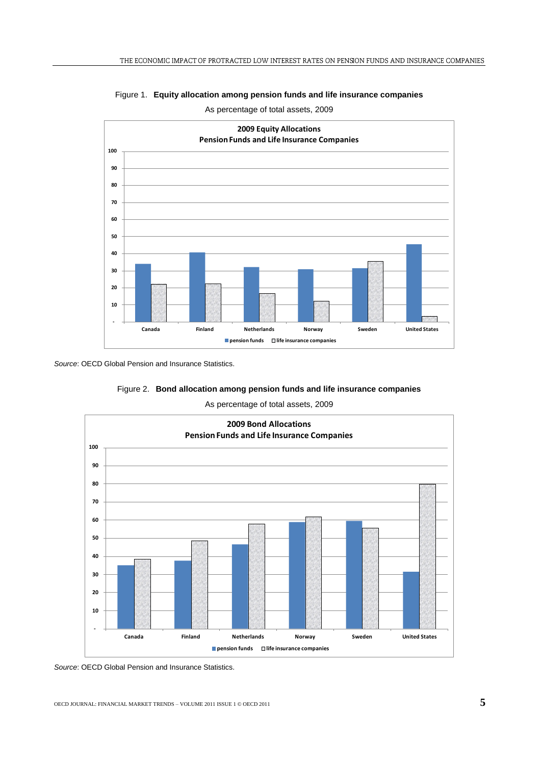

Figure 1. **Equity allocation among pension funds and life insurance companies**

As percentage of total assets, 2009

*Source*: OECD Global Pension and Insurance Statistics.



As percentage of total assets, 2009



*Source*: OECD Global Pension and Insurance Statistics.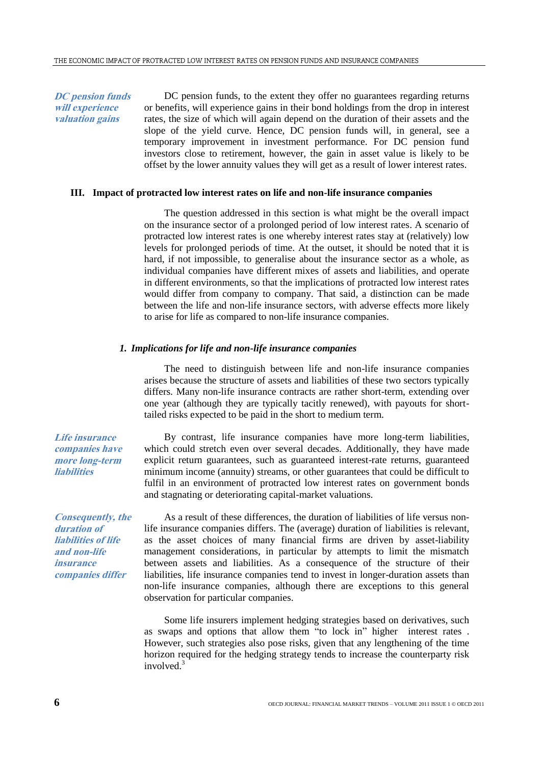**DC pension funds will experience valuation gains**

DC pension funds, to the extent they offer no guarantees regarding returns or benefits, will experience gains in their bond holdings from the drop in interest rates, the size of which will again depend on the duration of their assets and the slope of the yield curve. Hence, DC pension funds will, in general, see a temporary improvement in investment performance. For DC pension fund investors close to retirement, however, the gain in asset value is likely to be offset by the lower annuity values they will get as a result of lower interest rates.

# **III. Impact of protracted low interest rates on life and non-life insurance companies**

The question addressed in this section is what might be the overall impact on the insurance sector of a prolonged period of low interest rates. A scenario of protracted low interest rates is one whereby interest rates stay at (relatively) low levels for prolonged periods of time. At the outset, it should be noted that it is hard, if not impossible, to generalise about the insurance sector as a whole, as individual companies have different mixes of assets and liabilities, and operate in different environments, so that the implications of protracted low interest rates would differ from company to company. That said, a distinction can be made between the life and non-life insurance sectors, with adverse effects more likely to arise for life as compared to non-life insurance companies.

# *1. Implications for life and non-life insurance companies*

The need to distinguish between life and non-life insurance companies arises because the structure of assets and liabilities of these two sectors typically differs. Many non-life insurance contracts are rather short-term, extending over one year (although they are typically tacitly renewed), with payouts for shorttailed risks expected to be paid in the short to medium term.

By contrast, life insurance companies have more long-term liabilities, which could stretch even over several decades. Additionally, they have made explicit return guarantees, such as guaranteed interest-rate returns, guaranteed minimum income (annuity) streams, or other guarantees that could be difficult to fulfil in an environment of protracted low interest rates on government bonds and stagnating or deteriorating capital-market valuations.

As a result of these differences, the duration of liabilities of life versus nonlife insurance companies differs. The (average) duration of liabilities is relevant, as the asset choices of many financial firms are driven by asset-liability management considerations, in particular by attempts to limit the mismatch between assets and liabilities. As a consequence of the structure of their liabilities, life insurance companies tend to invest in longer-duration assets than non-life insurance companies, although there are exceptions to this general observation for particular companies.

Some life insurers implement hedging strategies based on derivatives, such as swaps and options that allow them "to lock in" higher interest rates . However, such strategies also pose risks, given that any lengthening of the time horizon required for the hedging strategy tends to increase the counterparty risk involved. $3$ 

**Life insurance companies have more long-term liabilities**

**Consequently, the duration of liabilities of life and non-life insurance companies differ**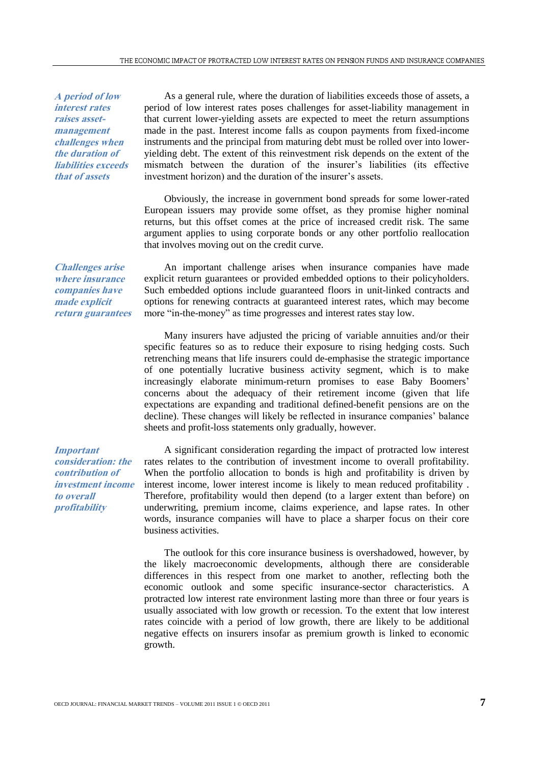**A period of low interest rates raises assetmanagement challenges when the duration of liabilities exceeds that of assets**

**Challenges arise where insurance companies have made explicit return guarantees**

As a general rule, where the duration of liabilities exceeds those of assets, a period of low interest rates poses challenges for asset-liability management in that current lower-yielding assets are expected to meet the return assumptions made in the past. Interest income falls as coupon payments from fixed-income instruments and the principal from maturing debt must be rolled over into loweryielding debt. The extent of this reinvestment risk depends on the extent of the mismatch between the duration of the insurer's liabilities (its effective investment horizon) and the duration of the insurer's assets.

Obviously, the increase in government bond spreads for some lower-rated European issuers may provide some offset, as they promise higher nominal returns, but this offset comes at the price of increased credit risk. The same argument applies to using corporate bonds or any other portfolio reallocation that involves moving out on the credit curve.

An important challenge arises when insurance companies have made explicit return guarantees or provided embedded options to their policyholders. Such embedded options include guaranteed floors in unit-linked contracts and options for renewing contracts at guaranteed interest rates, which may become more "in-the-money" as time progresses and interest rates stay low.

Many insurers have adjusted the pricing of variable annuities and/or their specific features so as to reduce their exposure to rising hedging costs. Such retrenching means that life insurers could de-emphasise the strategic importance of one potentially lucrative business activity segment, which is to make increasingly elaborate minimum-return promises to ease Baby Boomers' concerns about the adequacy of their retirement income (given that life expectations are expanding and traditional defined-benefit pensions are on the decline). These changes will likely be reflected in insurance companies' balance sheets and profit-loss statements only gradually, however.

**Important consideration: the contribution of investment income to overall profitability**

A significant consideration regarding the impact of protracted low interest rates relates to the contribution of investment income to overall profitability. When the portfolio allocation to bonds is high and profitability is driven by interest income, lower interest income is likely to mean reduced profitability . Therefore, profitability would then depend (to a larger extent than before) on underwriting, premium income, claims experience, and lapse rates. In other words, insurance companies will have to place a sharper focus on their core business activities.

The outlook for this core insurance business is overshadowed, however, by the likely macroeconomic developments, although there are considerable differences in this respect from one market to another, reflecting both the economic outlook and some specific insurance-sector characteristics. A protracted low interest rate environment lasting more than three or four years is usually associated with low growth or recession. To the extent that low interest rates coincide with a period of low growth, there are likely to be additional negative effects on insurers insofar as premium growth is linked to economic growth.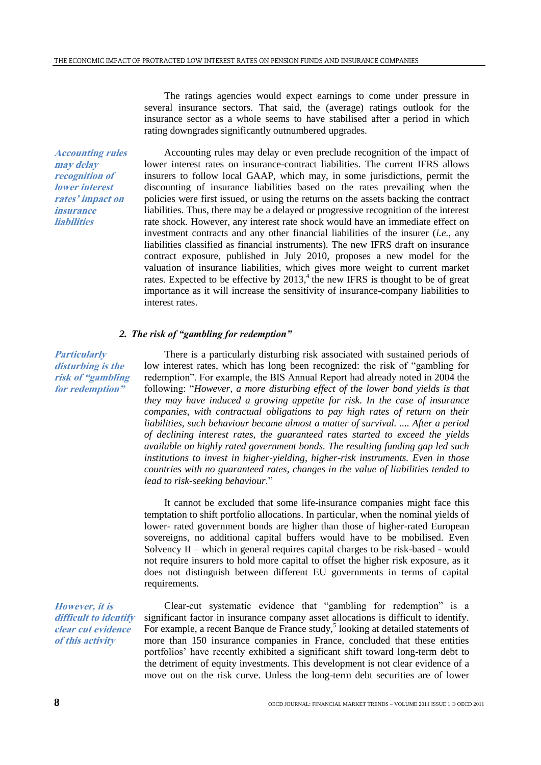The ratings agencies would expect earnings to come under pressure in several insurance sectors. That said, the (average) ratings outlook for the insurance sector as a whole seems to have stabilised after a period in which rating downgrades significantly outnumbered upgrades.

**Accounting rules may delay recognition of lower interest rates' impact on insurance liabilities**

Accounting rules may delay or even preclude recognition of the impact of lower interest rates on insurance-contract liabilities. The current IFRS allows insurers to follow local GAAP, which may, in some jurisdictions, permit the discounting of insurance liabilities based on the rates prevailing when the policies were first issued, or using the returns on the assets backing the contract liabilities. Thus, there may be a delayed or progressive recognition of the interest rate shock. However, any interest rate shock would have an immediate effect on investment contracts and any other financial liabilities of the insurer (*i.e.*, any liabilities classified as financial instruments). The new IFRS draft on insurance contract exposure, published in July 2010, proposes a new model for the valuation of insurance liabilities, which gives more weight to current market rates. Expected to be effective by  $2013<sup>4</sup>$ , the new IFRS is thought to be of great importance as it will increase the sensitivity of insurance-company liabilities to interest rates.

## *2. The risk of "gambling for redemption"*

**Particularly disturbing is the risk of "gambling for redemption"**

There is a particularly disturbing risk associated with sustained periods of low interest rates, which has long been recognized: the risk of "gambling for redemption". For example, the BIS Annual Report had already noted in 2004 the following: "*However, a more disturbing effect of the lower bond yields is that they may have induced a growing appetite for risk. In the case of insurance companies, with contractual obligations to pay high rates of return on their liabilities, such behaviour became almost a matter of survival. .... After a period of declining interest rates, the guaranteed rates started to exceed the yields available on highly rated government bonds. The resulting funding gap led such institutions to invest in higher-yielding, higher-risk instruments. Even in those countries with no guaranteed rates, changes in the value of liabilities tended to lead to risk-seeking behaviour*."

It cannot be excluded that some life-insurance companies might face this temptation to shift portfolio allocations. In particular, when the nominal yields of lower- rated government bonds are higher than those of higher-rated European sovereigns, no additional capital buffers would have to be mobilised. Even Solvency  $II$  – which in general requires capital charges to be risk-based - would not require insurers to hold more capital to offset the higher risk exposure, as it does not distinguish between different EU governments in terms of capital requirements.

**However, it is difficult to identify clear cut evidence of this activity**

Clear-cut systematic evidence that "gambling for redemption" is a significant factor in insurance company asset allocations is difficult to identify. For example, a recent Banque de France study,<sup>5</sup> looking at detailed statements of more than 150 insurance companies in France, concluded that these entities portfolios' have recently exhibited a significant shift toward long-term debt to the detriment of equity investments. This development is not clear evidence of a move out on the risk curve. Unless the long-term debt securities are of lower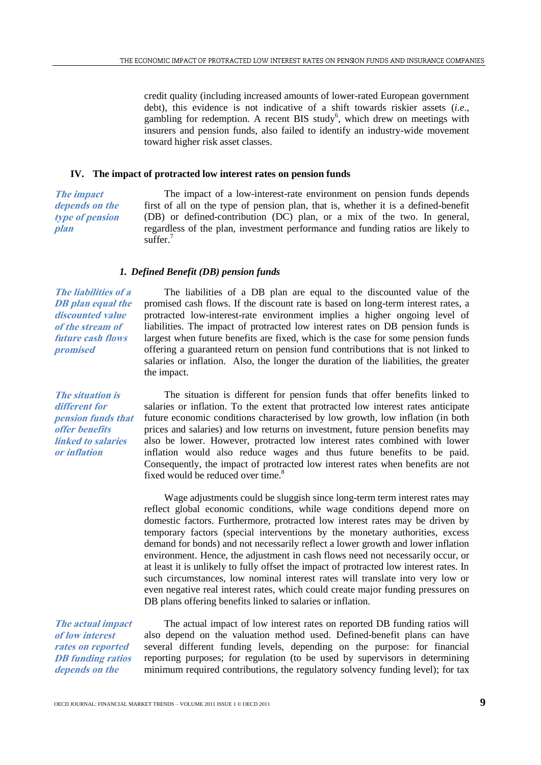credit quality (including increased amounts of lower-rated European government debt), this evidence is not indicative of a shift towards riskier assets (*i.e*., gambling for redemption. A recent BIS study<sup>6</sup>, which drew on meetings with insurers and pension funds, also failed to identify an industry-wide movement toward higher risk asset classes.

# **IV. The impact of protracted low interest rates on pension funds**

**The impact depends on the type of pension plan**

The impact of a low-interest-rate environment on pension funds depends first of all on the type of pension plan, that is, whether it is a defined-benefit (DB) or defined-contribution (DC) plan, or a mix of the two. In general, regardless of the plan, investment performance and funding ratios are likely to suffer.<sup>7</sup>

The liabilities of a DB plan are equal to the discounted value of the promised cash flows. If the discount rate is based on long-term interest rates, a protracted low-interest-rate environment implies a higher ongoing level of liabilities. The impact of protracted low interest rates on DB pension funds is largest when future benefits are fixed, which is the case for some pension funds offering a guaranteed return on pension fund contributions that is not linked to salaries or inflation. Also, the longer the duration of the liabilities, the greater

# *1. Defined Benefit (DB) pension funds*

the impact.

**The liabilities of a DB plan equal the discounted value of the stream of future cash flows promised**

**The situation is different for pension funds that offer benefits linked to salaries or inflation**

The situation is different for pension funds that offer benefits linked to salaries or inflation. To the extent that protracted low interest rates anticipate future economic conditions characterised by low growth, low inflation (in both prices and salaries) and low returns on investment, future pension benefits may also be lower. However, protracted low interest rates combined with lower inflation would also reduce wages and thus future benefits to be paid. Consequently, the impact of protracted low interest rates when benefits are not fixed would be reduced over time.<sup>8</sup>

Wage adjustments could be sluggish since long-term term interest rates may reflect global economic conditions, while wage conditions depend more on domestic factors. Furthermore, protracted low interest rates may be driven by temporary factors (special interventions by the monetary authorities, excess demand for bonds) and not necessarily reflect a lower growth and lower inflation environment. Hence, the adjustment in cash flows need not necessarily occur, or at least it is unlikely to fully offset the impact of protracted low interest rates. In such circumstances, low nominal interest rates will translate into very low or even negative real interest rates, which could create major funding pressures on DB plans offering benefits linked to salaries or inflation.

**The actual impact of low interest rates on reported DB funding ratios depends on the** 

The actual impact of low interest rates on reported DB funding ratios will also depend on the valuation method used. Defined-benefit plans can have several different funding levels, depending on the purpose: for financial reporting purposes; for regulation (to be used by supervisors in determining minimum required contributions, the regulatory solvency funding level); for tax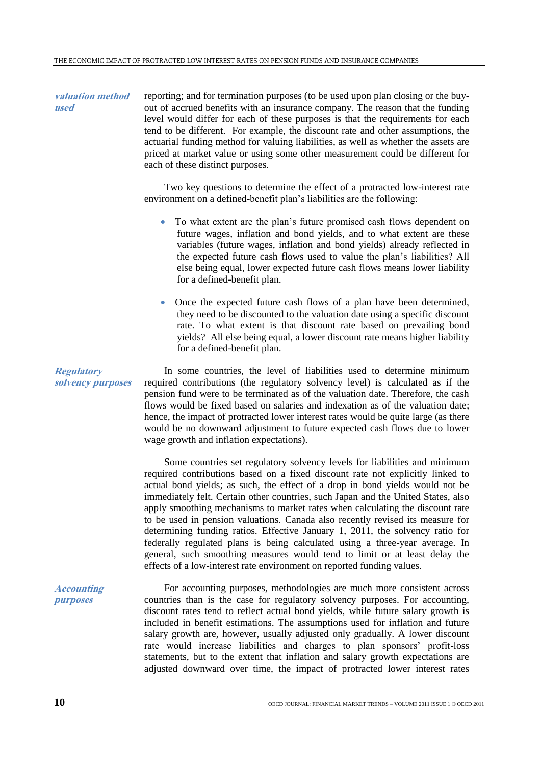**valuation method used** reporting; and for termination purposes (to be used upon plan closing or the buyout of accrued benefits with an insurance company. The reason that the funding level would differ for each of these purposes is that the requirements for each tend to be different. For example, the discount rate and other assumptions, the actuarial funding method for valuing liabilities, as well as whether the assets are priced at market value or using some other measurement could be different for each of these distinct purposes.

> Two key questions to determine the effect of a protracted low-interest rate environment on a defined-benefit plan's liabilities are the following:

- To what extent are the plan's future promised cash flows dependent on future wages, inflation and bond yields, and to what extent are these variables (future wages, inflation and bond yields) already reflected in the expected future cash flows used to value the plan's liabilities? All else being equal, lower expected future cash flows means lower liability for a defined-benefit plan.
- Once the expected future cash flows of a plan have been determined, they need to be discounted to the valuation date using a specific discount rate. To what extent is that discount rate based on prevailing bond yields? All else being equal, a lower discount rate means higher liability for a defined-benefit plan.

In some countries, the level of liabilities used to determine minimum required contributions (the regulatory solvency level) is calculated as if the pension fund were to be terminated as of the valuation date. Therefore, the cash flows would be fixed based on salaries and indexation as of the valuation date; hence, the impact of protracted lower interest rates would be quite large (as there would be no downward adjustment to future expected cash flows due to lower wage growth and inflation expectations).

Some countries set regulatory solvency levels for liabilities and minimum required contributions based on a fixed discount rate not explicitly linked to actual bond yields; as such, the effect of a drop in bond yields would not be immediately felt. Certain other countries, such Japan and the United States, also apply smoothing mechanisms to market rates when calculating the discount rate to be used in pension valuations. Canada also recently revised its measure for determining funding ratios. Effective January 1, 2011, the solvency ratio for federally regulated plans is being calculated using a three-year average. In general, such smoothing measures would tend to limit or at least delay the effects of a low-interest rate environment on reported funding values.

For accounting purposes, methodologies are much more consistent across countries than is the case for regulatory solvency purposes. For accounting, discount rates tend to reflect actual bond yields, while future salary growth is included in benefit estimations. The assumptions used for inflation and future salary growth are, however, usually adjusted only gradually. A lower discount rate would increase liabilities and charges to plan sponsors' profit-loss statements, but to the extent that inflation and salary growth expectations are adjusted downward over time, the impact of protracted lower interest rates

**solvency purposes**

**Regulatory** 

**Accounting purposes**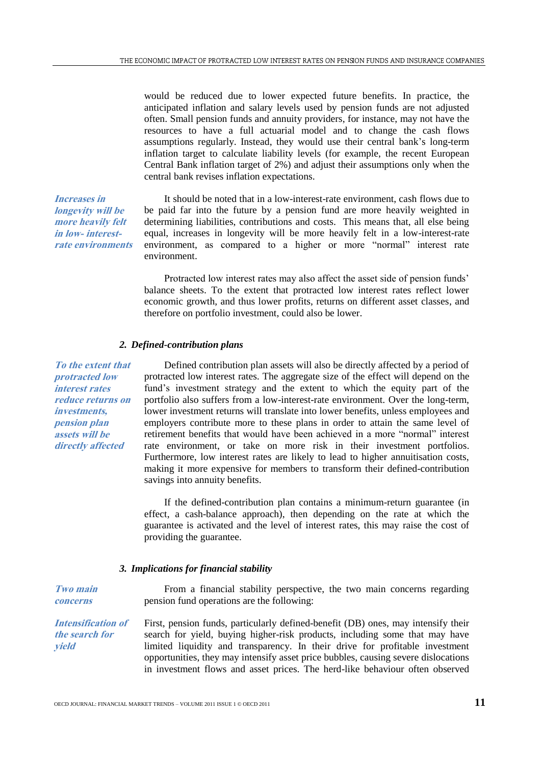would be reduced due to lower expected future benefits. In practice, the anticipated inflation and salary levels used by pension funds are not adjusted often. Small pension funds and annuity providers, for instance, may not have the resources to have a full actuarial model and to change the cash flows assumptions regularly. Instead, they would use their central bank's long-term inflation target to calculate liability levels (for example, the recent European Central Bank inflation target of 2%) and adjust their assumptions only when the central bank revises inflation expectations.

It should be noted that in a low-interest-rate environment, cash flows due to be paid far into the future by a pension fund are more heavily weighted in determining liabilities, contributions and costs. This means that, all else being equal, increases in longevity will be more heavily felt in a low-interest-rate environment, as compared to a higher or more "normal" interest rate environment.

Protracted low interest rates may also affect the asset side of pension funds' balance sheets. To the extent that protracted low interest rates reflect lower economic growth, and thus lower profits, returns on different asset classes, and therefore on portfolio investment, could also be lower.

# *2. Defined-contribution plans*

**To the extent that protracted low interest rates reduce returns on investments, pension plan assets will be directly affected**

**Two main concerns**

**Increases in longevity will be more heavily felt in low- interestrate environments**

> Defined contribution plan assets will also be directly affected by a period of protracted low interest rates. The aggregate size of the effect will depend on the fund's investment strategy and the extent to which the equity part of the portfolio also suffers from a low-interest-rate environment. Over the long-term, lower investment returns will translate into lower benefits, unless employees and employers contribute more to these plans in order to attain the same level of retirement benefits that would have been achieved in a more "normal" interest rate environment, or take on more risk in their investment portfolios. Furthermore, low interest rates are likely to lead to higher annuitisation costs, making it more expensive for members to transform their defined-contribution savings into annuity benefits.

> If the defined-contribution plan contains a minimum-return guarantee (in effect, a cash-balance approach), then depending on the rate at which the guarantee is activated and the level of interest rates, this may raise the cost of providing the guarantee.

# *3. Implications for financial stability*

From a financial stability perspective, the two main concerns regarding pension fund operations are the following:

**Intensification of the search for yield** First, pension funds, particularly defined-benefit (DB) ones, may intensify their search for yield, buying higher-risk products, including some that may have limited liquidity and transparency. In their drive for profitable investment opportunities, they may intensify asset price bubbles, causing severe dislocations in investment flows and asset prices. The herd-like behaviour often observed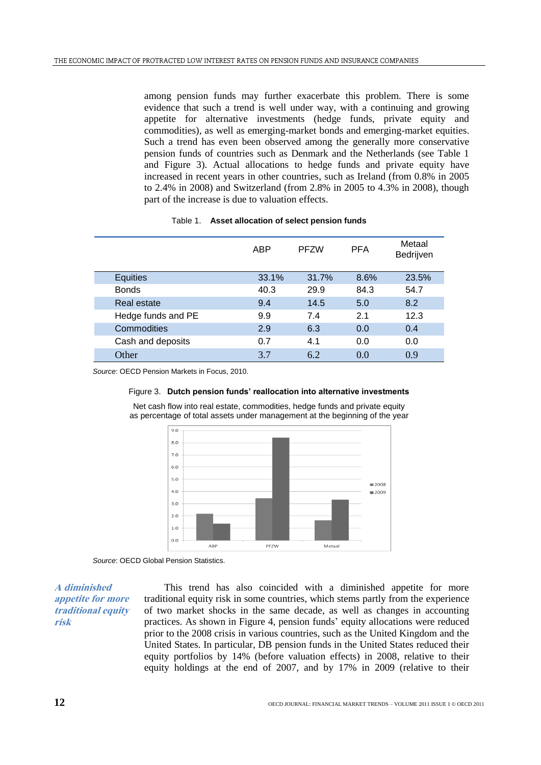among pension funds may further exacerbate this problem. There is some evidence that such a trend is well under way, with a continuing and growing appetite for alternative investments (hedge funds, private equity and commodities), as well as emerging-market bonds and emerging-market equities. Such a trend has even been observed among the generally more conservative pension funds of countries such as Denmark and the Netherlands (see Table 1 and Figure 3). Actual allocations to hedge funds and private equity have increased in recent years in other countries, such as Ireland (from 0.8% in 2005 to 2.4% in 2008) and Switzerland (from 2.8% in 2005 to 4.3% in 2008), though part of the increase is due to valuation effects.

|  | Table 1. Asset allocation of select pension funds |
|--|---------------------------------------------------|
|--|---------------------------------------------------|

|                    | ABP   | <b>PFZW</b> | <b>PFA</b> | Metaal<br>Bedrijven |
|--------------------|-------|-------------|------------|---------------------|
| <b>Equities</b>    | 33.1% | 31.7%       | 8.6%       | 23.5%               |
| <b>Bonds</b>       | 40.3  | 29.9        | 84.3       | 54.7                |
| Real estate        | 9.4   | 14.5        | 5.0        | 8.2                 |
| Hedge funds and PE | 9.9   | 7.4         | 2.1        | 12.3                |
| Commodities        | 2.9   | 6.3         | 0.0        | 0.4                 |
| Cash and deposits  | 0.7   | 4.1         | 0.0        | 0.0                 |
| Other              | 3.7   | 6.2         | 0.0        | 0.9                 |

*Source*: OECD Pension Markets in Focus, 2010.

#### Figure 3. **Dutch pension funds' reallocation into alternative investments**

Net cash flow into real estate, commodities, hedge funds and private equity as percentage of total assets under management at the beginning of the year



*Source*: OECD Global Pension Statistics.

**A diminished appetite for more traditional equity risk**

This trend has also coincided with a diminished appetite for more traditional equity risk in some countries, which stems partly from the experience of two market shocks in the same decade, as well as changes in accounting practices. As shown in Figure 4, pension funds' equity allocations were reduced prior to the 2008 crisis in various countries, such as the United Kingdom and the United States. In particular, DB pension funds in the United States reduced their equity portfolios by 14% (before valuation effects) in 2008, relative to their equity holdings at the end of 2007, and by 17% in 2009 (relative to their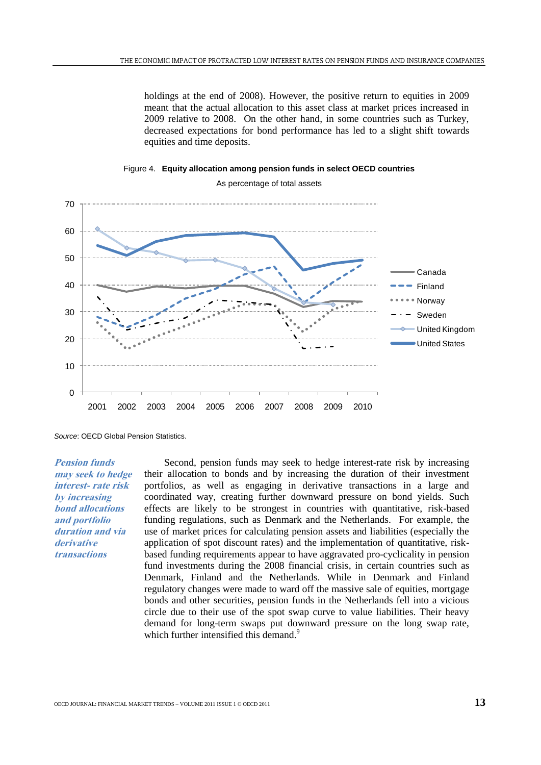holdings at the end of 2008). However, the positive return to equities in 2009 meant that the actual allocation to this asset class at market prices increased in 2009 relative to 2008. On the other hand, in some countries such as Turkey, decreased expectations for bond performance has led to a slight shift towards equities and time deposits.





As percentage of total assets

*Source*: OECD Global Pension Statistics.

**Pension funds may seek to hedge interest- rate risk by increasing bond allocations and portfolio duration and via derivative transactions**

Second, pension funds may seek to hedge interest-rate risk by increasing their allocation to bonds and by increasing the duration of their investment portfolios, as well as engaging in derivative transactions in a large and coordinated way, creating further downward pressure on bond yields. Such effects are likely to be strongest in countries with quantitative, risk-based funding regulations, such as Denmark and the Netherlands. For example, the use of market prices for calculating pension assets and liabilities (especially the application of spot discount rates) and the implementation of quantitative, riskbased funding requirements appear to have aggravated pro-cyclicality in pension fund investments during the 2008 financial crisis, in certain countries such as Denmark, Finland and the Netherlands. While in Denmark and Finland regulatory changes were made to ward off the massive sale of equities, mortgage bonds and other securities, pension funds in the Netherlands fell into a vicious circle due to their use of the spot swap curve to value liabilities. Their heavy demand for long-term swaps put downward pressure on the long swap rate, which further intensified this demand.<sup>9</sup>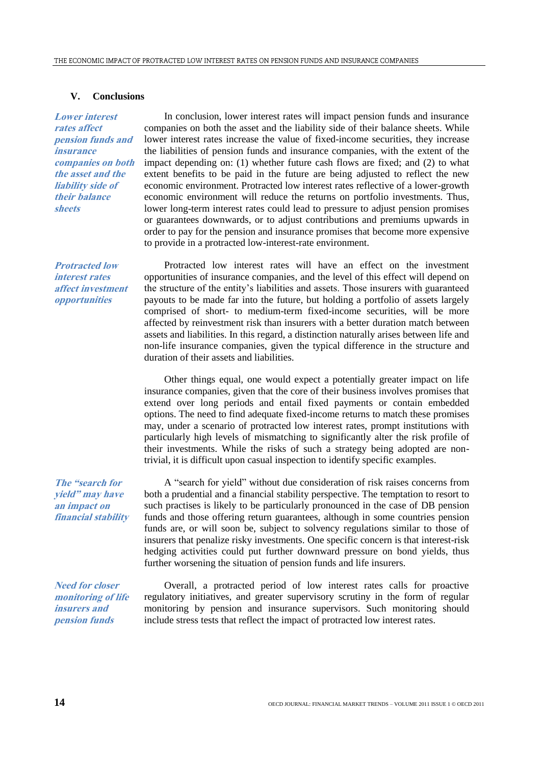# **V. Conclusions**

**Lower interest rates affect pension funds and insurance companies on both the asset and the liability side of their balance sheets**

In conclusion, lower interest rates will impact pension funds and insurance companies on both the asset and the liability side of their balance sheets. While lower interest rates increase the value of fixed-income securities, they increase the liabilities of pension funds and insurance companies, with the extent of the impact depending on: (1) whether future cash flows are fixed; and (2) to what extent benefits to be paid in the future are being adjusted to reflect the new economic environment. Protracted low interest rates reflective of a lower-growth economic environment will reduce the returns on portfolio investments. Thus, lower long-term interest rates could lead to pressure to adjust pension promises or guarantees downwards, or to adjust contributions and premiums upwards in order to pay for the pension and insurance promises that become more expensive to provide in a protracted low-interest-rate environment.

**Protracted low interest rates affect investment opportunities**

Protracted low interest rates will have an effect on the investment opportunities of insurance companies, and the level of this effect will depend on the structure of the entity's liabilities and assets. Those insurers with guaranteed payouts to be made far into the future, but holding a portfolio of assets largely comprised of short- to medium-term fixed-income securities, will be more affected by reinvestment risk than insurers with a better duration match between assets and liabilities. In this regard, a distinction naturally arises between life and non-life insurance companies, given the typical difference in the structure and duration of their assets and liabilities.

Other things equal, one would expect a potentially greater impact on life insurance companies, given that the core of their business involves promises that extend over long periods and entail fixed payments or contain embedded options. The need to find adequate fixed-income returns to match these promises may, under a scenario of protracted low interest rates, prompt institutions with particularly high levels of mismatching to significantly alter the risk profile of their investments. While the risks of such a strategy being adopted are nontrivial, it is difficult upon casual inspection to identify specific examples.

**The "search for yield" may have an impact on financial stability**

A "search for yield" without due consideration of risk raises concerns from both a prudential and a financial stability perspective. The temptation to resort to such practises is likely to be particularly pronounced in the case of DB pension funds and those offering return guarantees, although in some countries pension funds are, or will soon be, subject to solvency regulations similar to those of insurers that penalize risky investments. One specific concern is that interest-risk hedging activities could put further downward pressure on bond yields, thus further worsening the situation of pension funds and life insurers.

**Need for closer monitoring of life insurers and pension funds**

Overall, a protracted period of low interest rates calls for proactive regulatory initiatives, and greater supervisory scrutiny in the form of regular monitoring by pension and insurance supervisors. Such monitoring should include stress tests that reflect the impact of protracted low interest rates.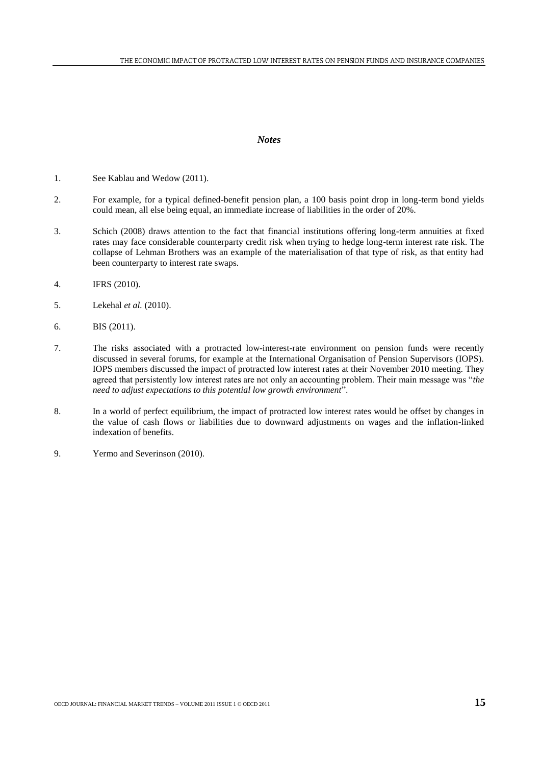## *Notes*

- 1. See Kablau and Wedow (2011).
- 2. For example, for a typical defined-benefit pension plan, a 100 basis point drop in long-term bond yields could mean, all else being equal, an immediate increase of liabilities in the order of 20%.
- 3. Schich (2008) draws attention to the fact that financial institutions offering long-term annuities at fixed rates may face considerable counterparty credit risk when trying to hedge long-term interest rate risk. The collapse of Lehman Brothers was an example of the materialisation of that type of risk, as that entity had been counterparty to interest rate swaps.
- 4. IFRS (2010).
- 5. Lekehal *et al.* (2010).
- 6. BIS (2011).
- 7. The risks associated with a protracted low-interest-rate environment on pension funds were recently discussed in several forums, for example at the International Organisation of Pension Supervisors (IOPS). IOPS members discussed the impact of protracted low interest rates at their November 2010 meeting. They agreed that persistently low interest rates are not only an accounting problem. Their main message was "*the need to adjust expectations to this potential low growth environment*".
- 8. In a world of perfect equilibrium, the impact of protracted low interest rates would be offset by changes in the value of cash flows or liabilities due to downward adjustments on wages and the inflation-linked indexation of benefits.
- 9. Yermo and Severinson (2010).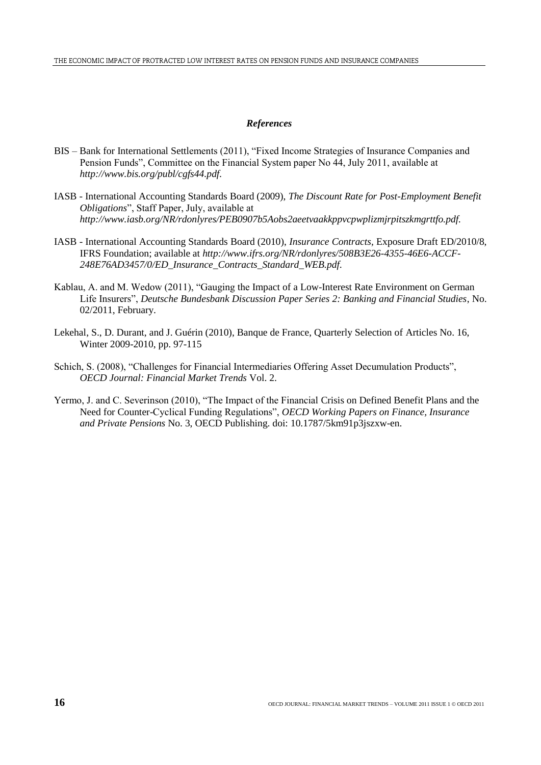# *References*

- BIS Bank for International Settlements (2011), "Fixed Income Strategies of Insurance Companies and Pension Funds", Committee on the Financial System paper No 44, July 2011, available at *[http://www.bis.org/publ/cgfs44.pdf.](http://www.bis.org/publ/cgfs44.pdf)*
- IASB International Accounting Standards Board (2009), *The Discount Rate for Post-Employment Benefit Obligations*", Staff Paper, July, available at *http://www.iasb.org/NR/rdonlyres/PEB0907b5Aobs2aeetvaakkppvcpwplizmjrpitszkmgrttfo.pdf.*
- IASB International Accounting Standards Board (2010), *Insurance Contracts,* Exposure Draft ED/2010/8, IFRS Foundation; available at *http://www.ifrs.org/NR/rdonlyres/508B3E26-4355-46E6-ACCF-248E76AD3457/0/ED\_Insurance\_Contracts\_Standard\_WEB.pdf.*
- Kablau, A. and M. Wedow (2011), "Gauging the Impact of a Low-Interest Rate Environment on German Life Insurers", *Deutsche Bundesbank Discussion Paper Series 2: Banking and Financial Studies*, No. 02/2011, February.
- Lekehal, S., D. Durant, and J. Guérin (2010), Banque de France, Quarterly Selection of Articles No. 16, Winter 2009-2010, pp. 97-115
- Schich, S. (2008), "Challenges for Financial Intermediaries Offering Asset Decumulation Products", *OECD Journal: Financial Market Trends* Vol. 2.
- Yermo, J. and C. Severinson (2010), "The Impact of the Financial Crisis on Defined Benefit Plans and the Need for Counter-Cyclical Funding Regulations", *OECD Working Papers on Finance, Insurance and Private Pensions* No. 3, OECD Publishing. doi: 10.1787/5km91p3jszxw-en.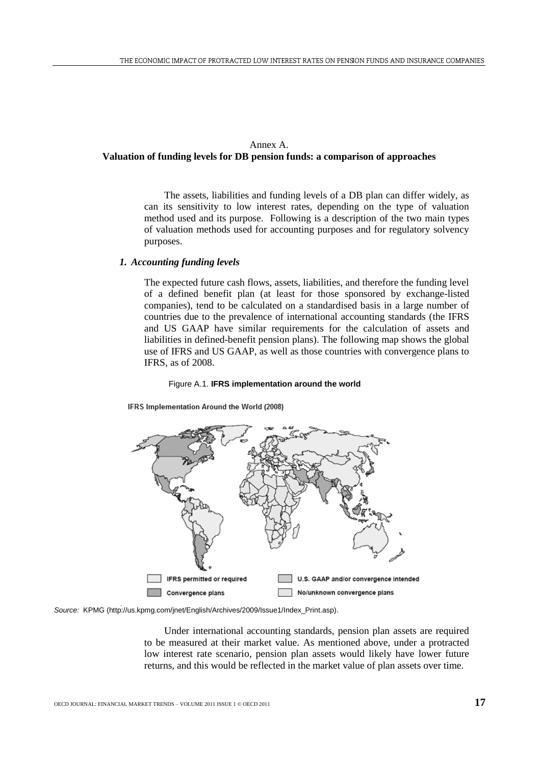# Annex A.

# **Valuation of funding levels for DB pension funds: a comparison of approaches**

The assets, liabilities and funding levels of a DB plan can differ widely, as can its sensitivity to low interest rates, depending on the type of valuation method used and its purpose. Following is a description of the two main types of valuation methods used for accounting purposes and for regulatory solvency purposes.

# *1. Accounting funding levels*

The expected future cash flows, assets, liabilities, and therefore the funding level of a defined benefit plan (at least for those sponsored by exchange-listed companies), tend to be calculated on a standardised basis in a large number of countries due to the prevalence of international accounting standards (the IFRS and US GAAP have similar requirements for the calculation of assets and liabilities in defined-benefit pension plans). The following map shows the global use of IFRS and US GAAP, as well as those countries with convergence plans to IFRS, as of 2008.

#### Figure A.1. **IFRS implementation around the world**

IFRS Implementation Around the World (2008)



*Source:* KPMG (http://us.kpmg.com/jnet/English/Archives/2009/Issue1/Index\_Print.asp).

Under international accounting standards, pension plan assets are required to be measured at their market value. As mentioned above, under a protracted low interest rate scenario, pension plan assets would likely have lower future returns, and this would be reflected in the market value of plan assets over time.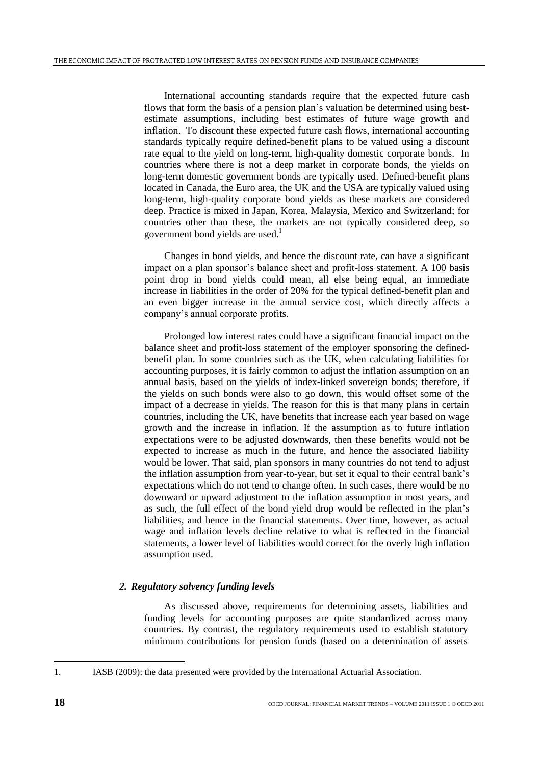International accounting standards require that the expected future cash flows that form the basis of a pension plan's valuation be determined using bestestimate assumptions, including best estimates of future wage growth and inflation. To discount these expected future cash flows, international accounting standards typically require defined-benefit plans to be valued using a discount rate equal to the yield on long-term, high-quality domestic corporate bonds. In countries where there is not a deep market in corporate bonds, the yields on long-term domestic government bonds are typically used. Defined-benefit plans located in Canada, the Euro area, the UK and the USA are typically valued using long-term, high-quality corporate bond yields as these markets are considered deep. Practice is mixed in Japan, Korea, Malaysia, Mexico and Switzerland; for countries other than these, the markets are not typically considered deep, so government bond yields are used.<sup>1</sup>

Changes in bond yields, and hence the discount rate, can have a significant impact on a plan sponsor's balance sheet and profit-loss statement. A 100 basis point drop in bond yields could mean, all else being equal, an immediate increase in liabilities in the order of 20% for the typical defined-benefit plan and an even bigger increase in the annual service cost, which directly affects a company's annual corporate profits.

Prolonged low interest rates could have a significant financial impact on the balance sheet and profit-loss statement of the employer sponsoring the definedbenefit plan. In some countries such as the UK, when calculating liabilities for accounting purposes, it is fairly common to adjust the inflation assumption on an annual basis, based on the yields of index-linked sovereign bonds; therefore, if the yields on such bonds were also to go down, this would offset some of the impact of a decrease in yields. The reason for this is that many plans in certain countries, including the UK, have benefits that increase each year based on wage growth and the increase in inflation. If the assumption as to future inflation expectations were to be adjusted downwards, then these benefits would not be expected to increase as much in the future, and hence the associated liability would be lower. That said, plan sponsors in many countries do not tend to adjust the inflation assumption from year-to-year, but set it equal to their central bank's expectations which do not tend to change often. In such cases, there would be no downward or upward adjustment to the inflation assumption in most years, and as such, the full effect of the bond yield drop would be reflected in the plan's liabilities, and hence in the financial statements. Over time, however, as actual wage and inflation levels decline relative to what is reflected in the financial statements, a lower level of liabilities would correct for the overly high inflation assumption used.

# *2. Regulatory solvency funding levels*

As discussed above, requirements for determining assets, liabilities and funding levels for accounting purposes are quite standardized across many countries. By contrast, the regulatory requirements used to establish statutory minimum contributions for pension funds (based on a determination of assets

l

<sup>1.</sup> IASB (2009); the data presented were provided by the International Actuarial Association.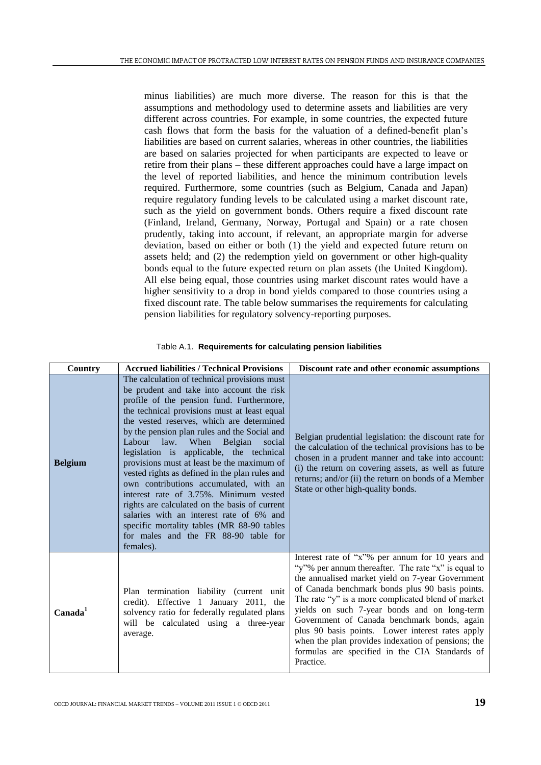minus liabilities) are much more diverse. The reason for this is that the assumptions and methodology used to determine assets and liabilities are very different across countries. For example, in some countries, the expected future cash flows that form the basis for the valuation of a defined-benefit plan's liabilities are based on current salaries, whereas in other countries, the liabilities are based on salaries projected for when participants are expected to leave or retire from their plans – these different approaches could have a large impact on the level of reported liabilities, and hence the minimum contribution levels required. Furthermore, some countries (such as Belgium, Canada and Japan) require regulatory funding levels to be calculated using a market discount rate, such as the yield on government bonds. Others require a fixed discount rate (Finland, Ireland, Germany, Norway, Portugal and Spain) or a rate chosen prudently, taking into account, if relevant, an appropriate margin for adverse deviation, based on either or both (1) the yield and expected future return on assets held; and (2) the redemption yield on government or other high-quality bonds equal to the future expected return on plan assets (the United Kingdom). All else being equal, those countries using market discount rates would have a higher sensitivity to a drop in bond yields compared to those countries using a fixed discount rate. The table below summarises the requirements for calculating pension liabilities for regulatory solvency-reporting purposes.

| Country             | <b>Accrued liabilities / Technical Provisions</b>                                                                                                                                                                                                                                                                                                                                                                                                                                                                                                                                                                                                                                                                                                                  | Discount rate and other economic assumptions                                                                                                                                                                                                                                                                                                                                                                                                                                                                                                 |
|---------------------|--------------------------------------------------------------------------------------------------------------------------------------------------------------------------------------------------------------------------------------------------------------------------------------------------------------------------------------------------------------------------------------------------------------------------------------------------------------------------------------------------------------------------------------------------------------------------------------------------------------------------------------------------------------------------------------------------------------------------------------------------------------------|----------------------------------------------------------------------------------------------------------------------------------------------------------------------------------------------------------------------------------------------------------------------------------------------------------------------------------------------------------------------------------------------------------------------------------------------------------------------------------------------------------------------------------------------|
| <b>Belgium</b>      | The calculation of technical provisions must<br>be prudent and take into account the risk<br>profile of the pension fund. Furthermore,<br>the technical provisions must at least equal<br>the vested reserves, which are determined<br>by the pension plan rules and the Social and<br>Labour<br>law.<br>When<br>Belgian<br>social<br>legislation is applicable, the technical<br>provisions must at least be the maximum of<br>vested rights as defined in the plan rules and<br>own contributions accumulated, with an<br>interest rate of 3.75%. Minimum vested<br>rights are calculated on the basis of current<br>salaries with an interest rate of 6% and<br>specific mortality tables (MR 88-90 tables<br>for males and the FR 88-90 table for<br>females). | Belgian prudential legislation: the discount rate for<br>the calculation of the technical provisions has to be<br>chosen in a prudent manner and take into account:<br>(i) the return on covering assets, as well as future<br>returns; and/or (ii) the return on bonds of a Member<br>State or other high-quality bonds.                                                                                                                                                                                                                    |
| Canada <sup>1</sup> | Plan termination liability (current unit<br>credit). Effective 1 January 2011, the<br>solvency ratio for federally regulated plans<br>will be calculated using a three-year<br>average.                                                                                                                                                                                                                                                                                                                                                                                                                                                                                                                                                                            | Interest rate of "x"% per annum for 10 years and<br>"y"% per annum thereafter. The rate "x" is equal to<br>the annualised market yield on 7-year Government<br>of Canada benchmark bonds plus 90 basis points.<br>The rate "y" is a more complicated blend of market<br>yields on such 7-year bonds and on long-term<br>Government of Canada benchmark bonds, again<br>plus 90 basis points. Lower interest rates apply<br>when the plan provides indexation of pensions; the<br>formulas are specified in the CIA Standards of<br>Practice. |